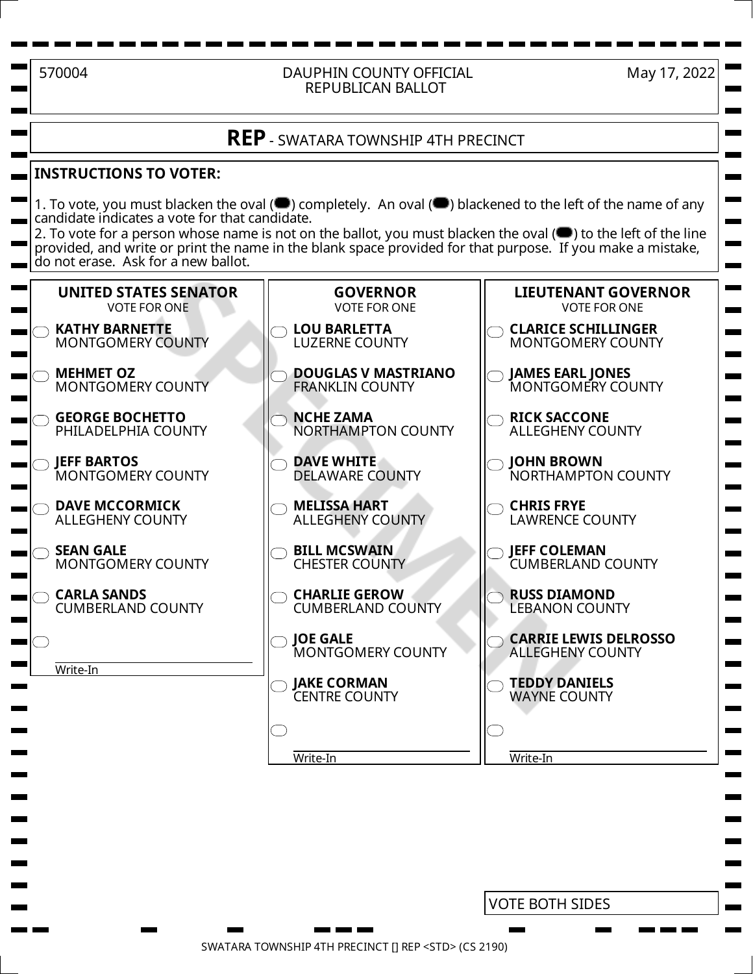## 570004 DAUPHIN COUNTY OFFICIAL REPUBLICAN BALLOT

May 17, 2022

## **REP**- SWATARA TOWNSHIP 4TH PRECINCT

## **INSTRUCTIONS TO VOTER:**

1. To vote, you must blacken the oval (O) completely. An oval (O) blackened to the left of the name of any candidate indicates a vote for that candidate.

2. To vote for a person whose name is not on the ballot, you must blacken the oval ( $\blacksquare$ ) to the left of the line provided, and write or print the name in the blank space provided for that purpose. If you make a mistake, do not erase. Ask for a new ballot.